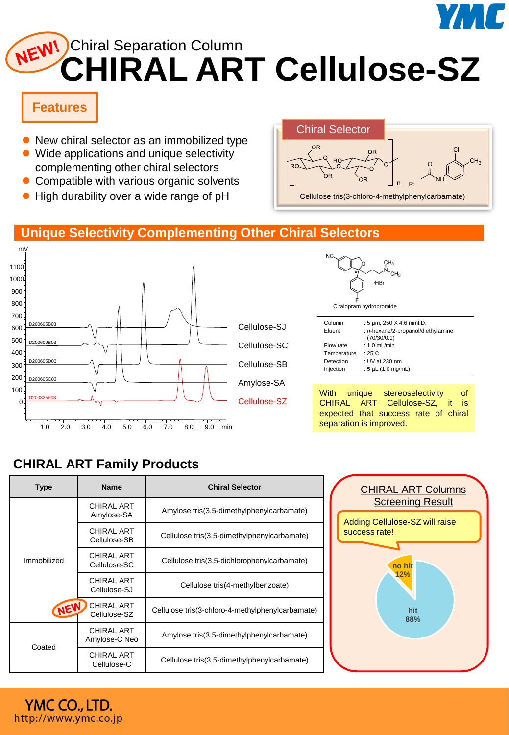

# **CHIRAL ART Cellulose-SZ** NEW! Chiral Separation Column

## **Features**

- New chiral selector as an immobilized type
- ⚫ Wide applications and unique selectivity complementing other chiral selectors
- Compatible with various organic solvents
- ⚫ High durability over a wide range of pH



#### **Unique Selectivity Complementing Other Chiral Selectors**



# **CHIRAL ART Family Products**

YMC CO., LTD. http://www.ymc.co.jp

| Type                      | <b>Name</b>                        | <b>Chiral Selector</b>                            |  |
|---------------------------|------------------------------------|---------------------------------------------------|--|
| Immobilized<br><b>NEW</b> | <b>CHIRAL ART</b><br>Amylose-SA    | Amylose tris(3,5-dimethylphenylcarbamate)         |  |
|                           | <b>CHIRAL ART</b><br>Cellulose-SB  | Cellulose tris(3,5-dimethylphenylcarbamate)       |  |
|                           | <b>CHIRAL ART</b><br>Cellulose-SC  | Cellulose tris(3,5-dichlorophenylcarbamate)       |  |
|                           | <b>CHIRAL ART</b><br>Cellulose-SJ  | Cellulose tris(4-methylbenzoate)                  |  |
|                           | <b>CHIRAL ART</b><br>Cellulose-SZ  | Cellulose tris (3-chloro-4-methylphenylcarbamate) |  |
| Coated                    | <b>CHIRAL ART</b><br>Amylose-C Neo | Amylose tris(3,5-dimethylphenylcarbamate)         |  |
|                           | <b>CHIRAL ART</b><br>Cellulose-C   | Cellulose tris(3,5-dimethylphenylcarbamate)       |  |